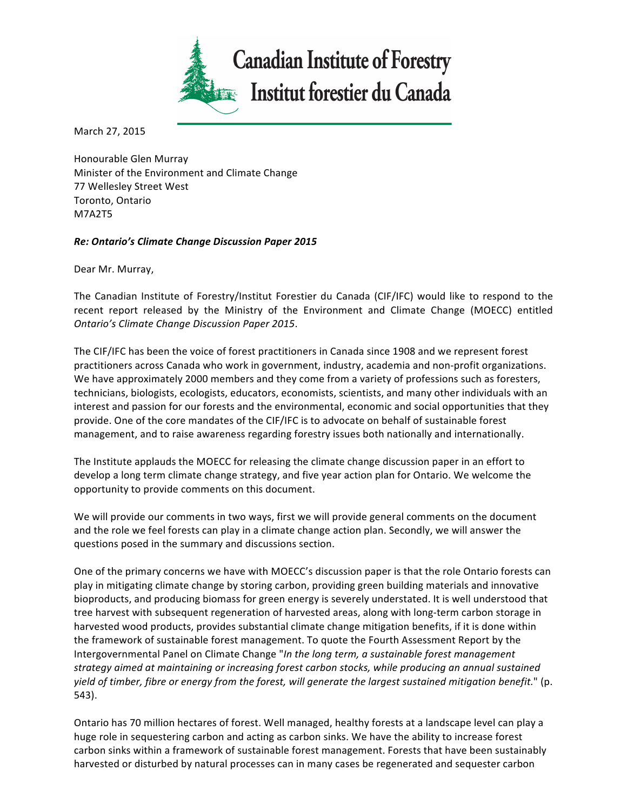

March 27, 2015

Honourable Glen Murray Minister of the Environment and Climate Change 77 Wellesley Street West Toronto, Ontario M7A2T5

## *Re: Ontario's Climate Change Discussion Paper 2015*

Dear Mr. Murray,

The Canadian Institute of Forestry/Institut Forestier du Canada (CIF/IFC) would like to respond to the recent report released by the Ministry of the Environment and Climate Change (MOECC) entitled *Ontario's Climate Change Discussion Paper 2015*. 

The CIF/IFC has been the voice of forest practitioners in Canada since 1908 and we represent forest practitioners across Canada who work in government, industry, academia and non-profit organizations. We have approximately 2000 members and they come from a variety of professions such as foresters, technicians, biologists, ecologists, educators, economists, scientists, and many other individuals with an interest and passion for our forests and the environmental, economic and social opportunities that they provide. One of the core mandates of the CIF/IFC is to advocate on behalf of sustainable forest management, and to raise awareness regarding forestry issues both nationally and internationally.

The Institute applauds the MOECC for releasing the climate change discussion paper in an effort to develop a long term climate change strategy, and five year action plan for Ontario. We welcome the opportunity to provide comments on this document.

We will provide our comments in two ways, first we will provide general comments on the document and the role we feel forests can play in a climate change action plan. Secondly, we will answer the questions posed in the summary and discussions section.

One of the primary concerns we have with MOECC's discussion paper is that the role Ontario forests can play in mitigating climate change by storing carbon, providing green building materials and innovative bioproducts, and producing biomass for green energy is severely understated. It is well understood that tree harvest with subsequent regeneration of harvested areas, along with long-term carbon storage in harvested wood products, provides substantial climate change mitigation benefits, if it is done within the framework of sustainable forest management. To quote the Fourth Assessment Report by the Intergovernmental Panel on Climate Change "*In the long term, a sustainable forest management* strategy aimed at maintaining or increasing forest carbon stocks, while producing an annual sustained yield of timber, fibre or energy from the forest, will generate the largest sustained mitigation benefit." (p. 543).

Ontario has 70 million hectares of forest. Well managed, healthy forests at a landscape level can play a huge role in sequestering carbon and acting as carbon sinks. We have the ability to increase forest carbon sinks within a framework of sustainable forest management. Forests that have been sustainably harvested or disturbed by natural processes can in many cases be regenerated and sequester carbon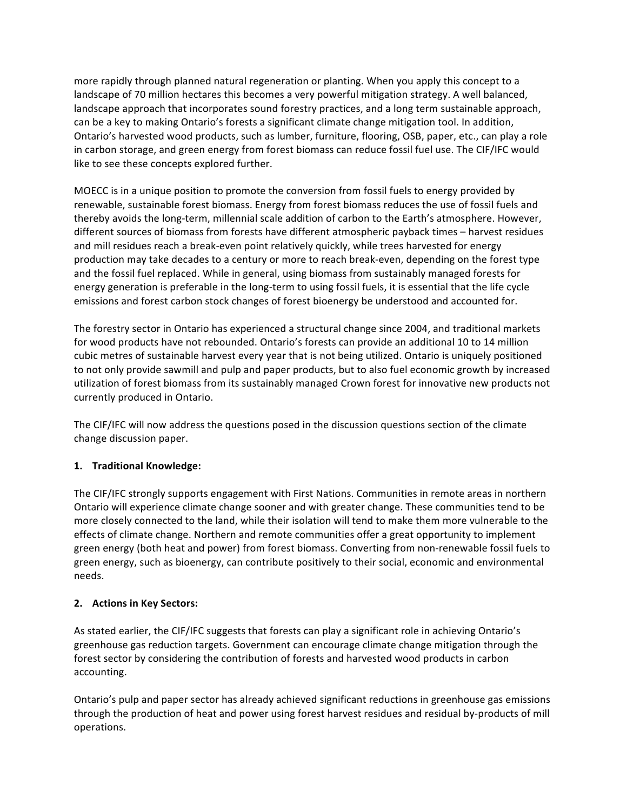more rapidly through planned natural regeneration or planting. When you apply this concept to a landscape of 70 million hectares this becomes a very powerful mitigation strategy. A well balanced, landscape approach that incorporates sound forestry practices, and a long term sustainable approach, can be a key to making Ontario's forests a significant climate change mitigation tool. In addition, Ontario's harvested wood products, such as lumber, furniture, flooring, OSB, paper, etc., can play a role in carbon storage, and green energy from forest biomass can reduce fossil fuel use. The CIF/IFC would like to see these concepts explored further.

MOECC is in a unique position to promote the conversion from fossil fuels to energy provided by renewable, sustainable forest biomass. Energy from forest biomass reduces the use of fossil fuels and thereby avoids the long-term, millennial scale addition of carbon to the Earth's atmosphere. However, different sources of biomass from forests have different atmospheric payback times – harvest residues and mill residues reach a break-even point relatively quickly, while trees harvested for energy production may take decades to a century or more to reach break-even, depending on the forest type and the fossil fuel replaced. While in general, using biomass from sustainably managed forests for energy generation is preferable in the long-term to using fossil fuels, it is essential that the life cycle emissions and forest carbon stock changes of forest bioenergy be understood and accounted for.

The forestry sector in Ontario has experienced a structural change since 2004, and traditional markets for wood products have not rebounded. Ontario's forests can provide an additional 10 to 14 million cubic metres of sustainable harvest every year that is not being utilized. Ontario is uniquely positioned to not only provide sawmill and pulp and paper products, but to also fuel economic growth by increased utilization of forest biomass from its sustainably managed Crown forest for innovative new products not currently produced in Ontario.

The CIF/IFC will now address the questions posed in the discussion questions section of the climate change discussion paper.

# **1. Traditional Knowledge:**

The CIF/IFC strongly supports engagement with First Nations. Communities in remote areas in northern Ontario will experience climate change sooner and with greater change. These communities tend to be more closely connected to the land, while their isolation will tend to make them more vulnerable to the effects of climate change. Northern and remote communities offer a great opportunity to implement green energy (both heat and power) from forest biomass. Converting from non-renewable fossil fuels to green energy, such as bioenergy, can contribute positively to their social, economic and environmental needs. 

### **2.** Actions in Key Sectors:

As stated earlier, the CIF/IFC suggests that forests can play a significant role in achieving Ontario's greenhouse gas reduction targets. Government can encourage climate change mitigation through the forest sector by considering the contribution of forests and harvested wood products in carbon accounting.

Ontario's pulp and paper sector has already achieved significant reductions in greenhouse gas emissions through the production of heat and power using forest harvest residues and residual by-products of mill operations.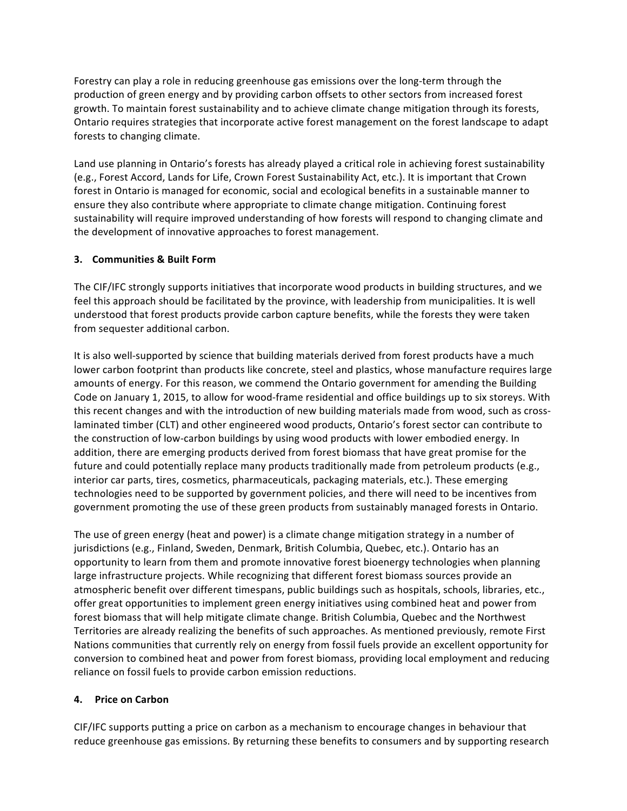Forestry can play a role in reducing greenhouse gas emissions over the long-term through the production of green energy and by providing carbon offsets to other sectors from increased forest growth. To maintain forest sustainability and to achieve climate change mitigation through its forests, Ontario requires strategies that incorporate active forest management on the forest landscape to adapt forests to changing climate.

Land use planning in Ontario's forests has already played a critical role in achieving forest sustainability (e.g., Forest Accord, Lands for Life, Crown Forest Sustainability Act, etc.). It is important that Crown forest in Ontario is managed for economic, social and ecological benefits in a sustainable manner to ensure they also contribute where appropriate to climate change mitigation. Continuing forest sustainability will require improved understanding of how forests will respond to changing climate and the development of innovative approaches to forest management.

## **3. Communities & Built Form**

The CIF/IFC strongly supports initiatives that incorporate wood products in building structures, and we feel this approach should be facilitated by the province, with leadership from municipalities. It is well understood that forest products provide carbon capture benefits, while the forests they were taken from sequester additional carbon.

It is also well-supported by science that building materials derived from forest products have a much lower carbon footprint than products like concrete, steel and plastics, whose manufacture requires large amounts of energy. For this reason, we commend the Ontario government for amending the Building Code on January 1, 2015, to allow for wood-frame residential and office buildings up to six storeys. With this recent changes and with the introduction of new building materials made from wood, such as crosslaminated timber (CLT) and other engineered wood products, Ontario's forest sector can contribute to the construction of low-carbon buildings by using wood products with lower embodied energy. In addition, there are emerging products derived from forest biomass that have great promise for the future and could potentially replace many products traditionally made from petroleum products (e.g., interior car parts, tires, cosmetics, pharmaceuticals, packaging materials, etc.). These emerging technologies need to be supported by government policies, and there will need to be incentives from government promoting the use of these green products from sustainably managed forests in Ontario.

The use of green energy (heat and power) is a climate change mitigation strategy in a number of jurisdictions (e.g., Finland, Sweden, Denmark, British Columbia, Quebec, etc.). Ontario has an opportunity to learn from them and promote innovative forest bioenergy technologies when planning large infrastructure projects. While recognizing that different forest biomass sources provide an atmospheric benefit over different timespans, public buildings such as hospitals, schools, libraries, etc., offer great opportunities to implement green energy initiatives using combined heat and power from forest biomass that will help mitigate climate change. British Columbia, Quebec and the Northwest Territories are already realizing the benefits of such approaches. As mentioned previously, remote First Nations communities that currently rely on energy from fossil fuels provide an excellent opportunity for conversion to combined heat and power from forest biomass, providing local employment and reducing reliance on fossil fuels to provide carbon emission reductions.

### **4. Price on Carbon**

CIF/IFC supports putting a price on carbon as a mechanism to encourage changes in behaviour that reduce greenhouse gas emissions. By returning these benefits to consumers and by supporting research